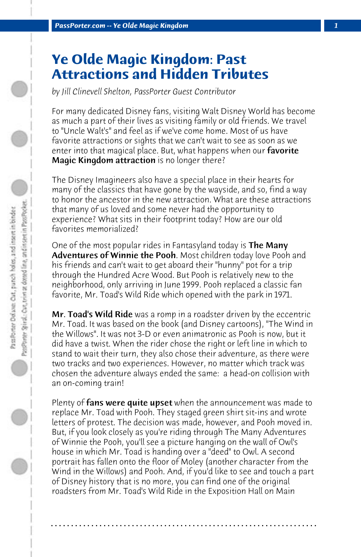## **Ye Olde Magic Kingdom: Past Attractions and Hidden Tributes**

*by Jill Clinevell Shelton, PassPorter Guest Contributor*

For many dedicated Disney fans, visiting Walt Disney World has become as much a part of their lives as visiting family or old friends. We travel to "Uncle Walt's" and feel as if we've come home. Most of us have favorite attractions or sights that we can't wait to see as soon as we enter into that magical place. But, what happens when our **favorite** Magic Kingdom attraction is no longer there?

The Disney Imagineers also have a special place in their hearts for many of the classics that have gone by the wayside, and so, find a way to honor the ancestor in the new attraction. What are these attractions that many of us loved and some never had the opportunity to experience? What sits in their footprint today? How are our old favorites memorialized?

One of the most popular rides in Fantasyland today is **The Many** Adventures of Winnie the Pooh. Most children today love Pooh and his friends and can't wait to get aboard their "hunny" pot for a trip through the Hundred Acre Wood. But Pooh is relatively new to the neighborhood, only arriving in June 1999. Pooh replaced a classic fan favorite, Mr. Toad's Wild Ride which opened with the park in 1971.

Mr. Toad's Wild Ride was a romp in a roadster driven by the eccentric Mr. Toad. It was based on the book (and Disney cartoons), "The Wind in the Willows". It was not 3-D or even animatronic as Pooh is now, but it did have a twist. When the rider chose the right or left line in which to stand to wait their turn, they also chose their adventure, as there were two tracks and two experiences. However, no matter which track was chosen the adventure always ended the same: a head-on collision with an on-coming train!

Plenty of fans were quite upset when the announcement was made to replace Mr. Toad with Pooh. They staged green shirt sit-ins and wrote letters of protest. The decision was made, however, and Pooh moved in. But, if you look closely as you're riding through The Many Adventures of Winnie the Pooh, you'll see a picture hanging on the wall of Owl's house in which Mr. Toad is handing over a "deed" to Owl. A second portrait has fallen onto the floor of Moley (another character from the Wind in the Willows) and Pooh. And, if you'd like to see and touch a part of Disney history that is no more, you can find one of the original roadsters from Mr. Toad's Wild Ride in the Exposition Hall on Main

**. . . . . . . . . . . . . . . . . . . . . . . . . . . . . . . . . . . . . . . . . . . . . . . . . . . . . . . . . . . . . . . . . .**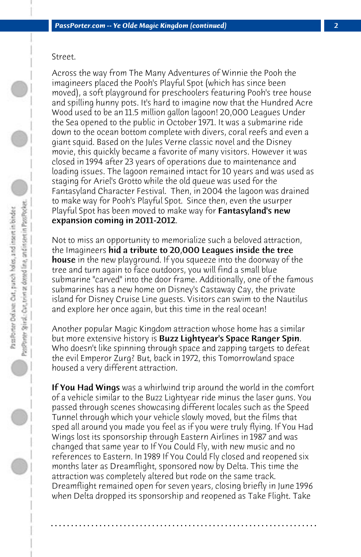## Street.

Across the way from The Many Adventures of Winnie the Pooh the imagineers placed the Pooh's Playful Spot (which has since been moved), a soft playground for preschoolers featuring Pooh's tree house and spilling hunny pots. It's hard to imagine now that the Hundred Acre Wood used to be an 11.5 million gallon lagoon! 20,000 Leagues Under the Sea opened to the public in October 1971. It was a submarine ride down to the ocean bottom complete with divers, coral reefs and even a giant squid. Based on the Jules Verne classic novel and the Disney movie, this quickly became a favorite of many visitors. However it was closed in 1994 after 23 years of operations due to maintenance and loading issues. The lagoon remained intact for 10 years and was used as staging for Ariel's Grotto while the old queue was used for the Fantasyland Character Festival. Then, in 2004 the lagoon was drained to make way for Pooh's Playful Spot. Since then, even the usurper Playful Spot has been moved to make way for **Fantasyland's new** expansion coming in 2011-2012.

Not to miss an opportunity to memorialize such a beloved attraction, the Imagineers hid a tribute to 20,000 Leagues inside the tree house in the new playground. If you squeeze into the doorway of the tree and turn again to face outdoors, you will find a small blue submarine "carved" into the door frame. Additionally, one of the famous submarines has a new home on Disney's Castaway Cay, the private island for Disney Cruise Line guests. Visitors can swim to the Nautilus and explore her once again, but this time in the real ocean!

Another popular Magic Kingdom attraction whose home has a similar but more extensive history is **Buzz Lightyear's Space Ranger Spin.** Who doesn't like spinning through space and zapping targets to defeat the evil Emperor Zurg? But, back in 1972, this Tomorrowland space housed a very different attraction.

**If You Had Wings** was a whirlwind trip around the world in the comfort of a vehicle similar to the Buzz Lightyear ride minus the laser guns. You passed through scenes showcasing different locales such as the Speed Tunnel through which your vehicle slowly moved, but the films that sped all around you made you feel as if you were truly flying. If You Had Wings lost its sponsorship through Eastern Airlines in 1987 and was changed that same year to If You Could Fly, with new music and no references to Eastern. In 1989 If You Could Fly closed and reopened six months later as Dreamflight, sponsored now by Delta. This time the attraction was completely altered but rode on the same track. Dreamflight remained open for seven years, closing briefly in June 1996 when Delta dropped its sponsorship and reopened as Take Flight. Take

**. . . . . . . . . . . . . . . . . . . . . . . . . . . . . . . . . . . . . . . . . . . . . . . . . . . . . . . . . . . . . . . . . .**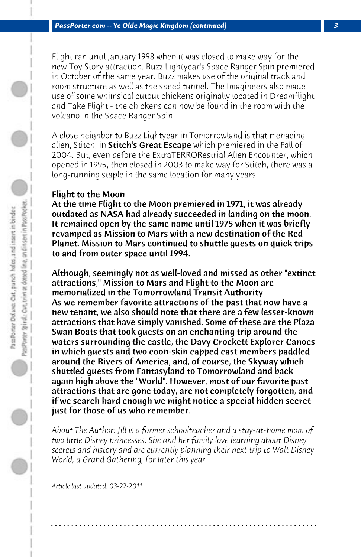Flight ran until January 1998 when it was closed to make way for the new Toy Story attraction. Buzz Lightyear's Space Ranger Spin premiered in October of the same year. Buzz makes use of the original track and room structure as well as the speed tunnel. The Imagineers also made use of some whimsical cutout chickens originally located in Dreamflight and Take Flight - the chickens can now be found in the room with the volcano in the Space Ranger Spin.

A close neighbor to Buzz Lightyear in Tomorrowland is that menacing alien, Stitch, in **Stitch's Great Escape** which premiered in the Fall of 2004. But, even before the ExtraTERRORestrial Alien Encounter, which opened in 1995, then closed in 2003 to make way for Stitch, there was a long-running staple in the same location for many years.

## Flight to the Moon

At the time Flight to the Moon premiered in 1971, it was already outdated as NASA had already succeeded in landing on the moon. It remained open by the same name until 1975 when it was briefly revamped as Mission to Mars with a new destination of the Red Planet. Mission to Mars continued to shuttle guests on quick trips to and from outer space until 1994.

Although, seemingly not as well-loved and missed as other "extinct attractions," Mission to Mars and Flight to the Moon are memorialized in the Tomorrowland Transit Authority As we remember favorite attractions of the past that now have a new tenant, we also should note that there are a few lesser-known attractions that have simply vanished. Some of these are the Plaza Swan Boats that took guests on an enchanting trip around the waters surrounding the castle, the Davy Crockett Explorer Canoes in which guests and two coon-skin capped cast members paddled around the Rivers of America, and, of course, the Skyway which shuttled guests from Fantasyland to Tomorrowland and back again high above the "World". However, most of our favorite past attractions that are gone today, are not completely forgotten, and if we search hard enough we might notice a special hidden secret just for those of us who remember.

*About The Author: Jill is a former schoolteacher and a stay-at-home mom of two little Disney princesses. She and her family love learning about Disney secrets and history and are currently planning their next trip to Walt Disney World, a Grand Gathering, for later this year.*

**. . . . . . . . . . . . . . . . . . . . . . . . . . . . . . . . . . . . . . . . . . . . . . . . . . . . . . . . . . . . . . . . . .**

*Article last updated: 03-22-2011*